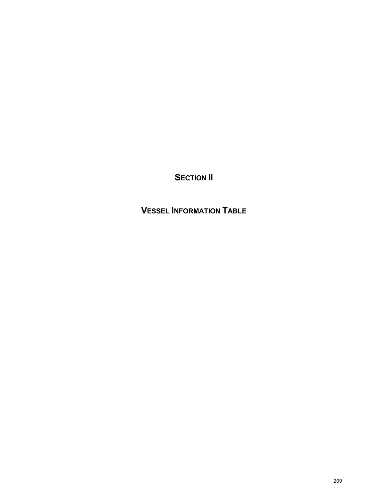**SECTION II** 

**VESSEL INFORMATION TABLE**